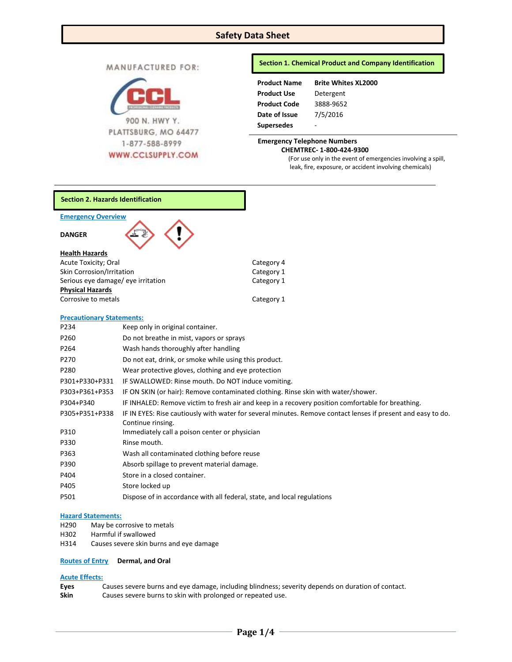# **Safety Data Sheet**

| <b>MANUFACTURED FOR:</b> |
|--------------------------|
|--------------------------|



## **Section 1. Chemical Product and Company Identification**

| <b>Product Name</b> | <b>Brite Whites XL2000</b> |
|---------------------|----------------------------|
| <b>Product Use</b>  | Detergent                  |
| <b>Product Code</b> | 3888-9652                  |
| Date of Issue       | 7/5/2016                   |
| <b>Supersedes</b>   |                            |

# **Emergency Telephone Numbers CHEMTREC- 1-800-424-9300**

(For use only in the event of emergencies involving a spill, leak, fire, exposure, or accident involving chemicals)



- H302 Harmful if swallowed
- H314 Causes severe skin burns and eye damage

## **Routes of Entry Dermal, and Oral**

## **Acute Effects:**

**Eyes** Causes severe burns and eye damage, including blindness; severity depends on duration of contact. **Skin** Causes severe burns to skin with prolonged or repeated use.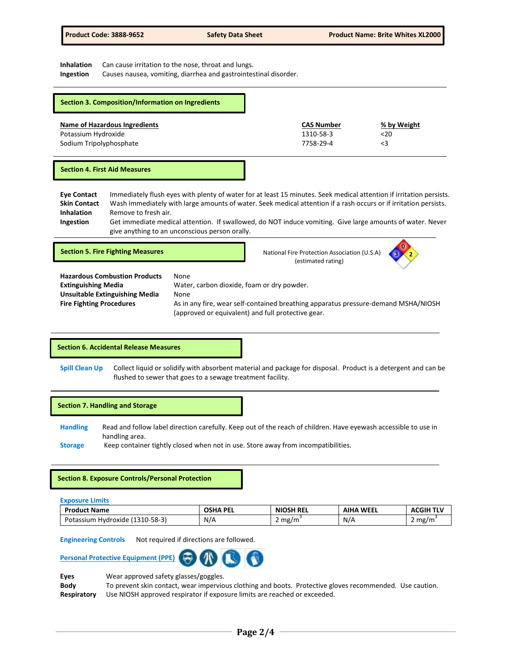**Inhalation** Can cause irritation to the nose, throat and lungs.

**Ingestion** Causes nausea, vomiting, diarrhea and gastrointestinal disorder.

| Section 3. Composition/Information on Ingredients |                   |             |
|---------------------------------------------------|-------------------|-------------|
| Name of Hazardous Ingredients                     | <b>CAS Number</b> | % by Weight |
| Potassium Hydroxide                               | 1310-58-3         | $20$        |
| Sodium Tripolyphosphate                           | 7758-29-4         | <3          |

#### **Section 4. First Aid Measures**

**Eye Contact** Immediately flush eyes with plenty of water for at least 15 minutes. Seek medical attention if irritation persists. **Skin Contact** Wash immediately with large amounts of water. Seek medical attention if a rash occurs or if irritation persists. **Inhalation** Remove to fresh air. **Ingestion** Get immediate medical attention. If swallowed, do NOT induce vomiting. Give large amounts of water. Never give anything to an unconscious person orally.

**Section 5. Fire Fighting Measures National Fire Protection Association (U.S.A) National Fire Protection Association (U.S.A)** (estimated rating)



| <b>Hazardous Combustion Products</b> | None                                                                               |
|--------------------------------------|------------------------------------------------------------------------------------|
| <b>Extinguishing Media</b>           | Water, carbon dioxide, foam or dry powder.                                         |
| Unsuitable Extinguishing Media       | None                                                                               |
| <b>Fire Fighting Procedures</b>      | As in any fire, wear self-contained breathing apparatus pressure-demand MSHA/NIOSH |
|                                      | (approved or equivalent) and full protective gear.                                 |

## **Section 6. Accidental Release Measures**

**Spill Clean Up** Collect liquid or solidify with absorbent material and package for disposal. Product is a detergent and can be flushed to sewer that goes to a sewage treatment facility.

#### **Section 7. Handling and Storage**

**Handling** Read and follow label direction carefully. Keep out of the reach of children. Have eyewash accessible to use in handling area.

**Storage** Keep container tightly closed when not in use. Store away from incompatibilities.

#### **Section 8. Exposure Controls/Personal Protection**

**Exposure Limits**

| <b>Product Name</b>                           | OSHA PEL | <b>NIOSH REL</b> | <b>WEEL</b><br>AIHA | <b>ACGIH TLV</b> |
|-----------------------------------------------|----------|------------------|---------------------|------------------|
| $(1310 - 58 - 3)$<br>Potassium<br>ı Hvdroxide | N/A      | mg/m<br><u>.</u> | N/A                 | 2 mg/m           |

**Engineering Controls** Not required if directions are followed.



**Eyes** Wear approved safety glasses/goggles.

**Body** To prevent skin contact, wear impervious clothing and boots. Protective gloves recommended. Use caution. **Respiratory** Use NIOSH approved respirator if exposure limits are reached or exceeded.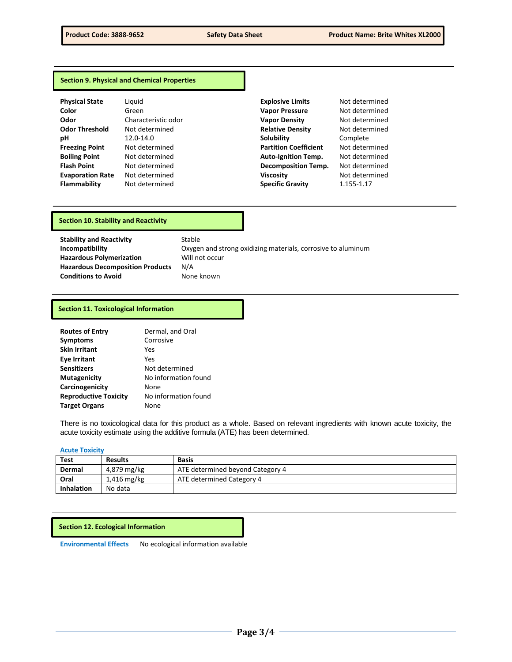## **Section 9. Physical and Chemical Properties**

| <b>Physical State</b>   | Ligui             |
|-------------------------|-------------------|
| Color                   | Gree              |
| Odor                    | Char              |
| <b>Odor Threshold</b>   | Not               |
| рH                      | 12.0 <sup>5</sup> |
| <b>Freezing Point</b>   | Not               |
| <b>Boiling Point</b>    | Not               |
| <b>Flash Point</b>      | Not (             |
| <b>Evaporation Rate</b> | Not (             |
| <b>Flammahility</b>     | Nnt i             |

| <b>Physical State</b>   | Liguid              | <b>Explosive Limits</b>      | Not determined |
|-------------------------|---------------------|------------------------------|----------------|
| Color                   | Green               | <b>Vapor Pressure</b>        | Not determined |
| Odor                    | Characteristic odor | <b>Vapor Density</b>         | Not determined |
| <b>Odor Threshold</b>   | Not determined      | <b>Relative Density</b>      | Not determined |
| рH                      | 12.0-14.0           | Solubility                   | Complete       |
| <b>Freezing Point</b>   | Not determined      | <b>Partition Coefficient</b> | Not determined |
| <b>Boiling Point</b>    | Not determined      | <b>Auto-Ignition Temp.</b>   | Not determined |
| <b>Flash Point</b>      | Not determined      | <b>Decomposition Temp.</b>   | Not determined |
| <b>Evaporation Rate</b> | Not determined      | <b>Viscosity</b>             | Not determined |
| Flammability            | Not determined      | <b>Specific Gravity</b>      | 1.155-1.17     |

## **Section 10. Stability and Reactivity**

**Stability and Reactivity** Stable **Hazardous Polymerization** Will not occur **Hazardous Decomposition Products** N/A **Conditions to Avoid** None known

**Incompatibility Incompatibility C**Xygen and strong oxidizing materials, corrosive to aluminum

#### **Section 11. Toxicological Information**

| <b>Routes of Entry</b>       | Dermal, and Oral     |
|------------------------------|----------------------|
| <b>Symptoms</b>              | Corrosive            |
| <b>Skin Irritant</b>         | Yes                  |
| <b>Eye Irritant</b>          | Yes                  |
| <b>Sensitizers</b>           | Not determined       |
| <b>Mutagenicity</b>          | No information found |
| Carcinogenicity              | None                 |
| <b>Reproductive Toxicity</b> | No information found |
| <b>Target Organs</b>         | None                 |

There is no toxicological data for this product as a whole. Based on relevant ingredients with known acute toxicity, the acute toxicity estimate using the additive formula (ATE) has been determined.

## **Acute Toxicity**

| Test              | <b>Results</b> | <b>Basis</b>                     |
|-------------------|----------------|----------------------------------|
| Dermal            | 4,879 mg/kg    | ATE determined beyond Category 4 |
| Oral              | $1,416$ mg/kg  | ATE determined Category 4        |
| <b>Inhalation</b> | No data        |                                  |

#### **Section 12. Ecological Information**

**Environmental Effects** No ecological information available